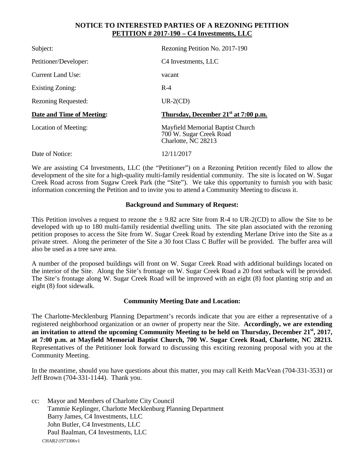## **NOTICE TO INTERESTED PARTIES OF A REZONING PETITION PETITION # 2017-190 – C4 Investments, LLC**

| Subject:                   | Rezoning Petition No. 2017-190                                                     |
|----------------------------|------------------------------------------------------------------------------------|
| Petitioner/Developer:      | C <sub>4</sub> Investments, LLC                                                    |
| <b>Current Land Use:</b>   | vacant                                                                             |
| <b>Existing Zoning:</b>    | $R-4$                                                                              |
| <b>Rezoning Requested:</b> | $UR-2(CD)$                                                                         |
| Date and Time of Meeting:  | Thursday, December 21 <sup>st</sup> at 7:00 p.m.                                   |
| Location of Meeting:       | Mayfield Memorial Baptist Church<br>700 W. Sugar Creek Road<br>Charlotte, NC 28213 |
| Date of Notice:            | 12/11/2017                                                                         |

We are assisting C4 Investments, LLC (the "Petitioner") on a Rezoning Petition recently filed to allow the development of the site for a high-quality multi-family residential community. The site is located on W. Sugar Creek Road across from Sugaw Creek Park (the "Site"). We take this opportunity to furnish you with basic information concerning the Petition and to invite you to attend a Community Meeting to discuss it.

## **Background and Summary of Request:**

This Petition involves a request to rezone the  $\pm$  9.82 acre Site from R-4 to UR-2(CD) to allow the Site to be developed with up to 180 multi-family residential dwelling units. The site plan associated with the rezoning petition proposes to access the Site from W. Sugar Creek Road by extending Merlane Drive into the Site as a private street. Along the perimeter of the Site a 30 foot Class C Buffer will be provided. The buffer area will also be used as a tree save area.

A number of the proposed buildings will front on W. Sugar Creek Road with additional buildings located on the interior of the Site. Along the Site's frontage on W. Sugar Creek Road a 20 foot setback will be provided. The Site's frontage along W. Sugar Creek Road will be improved with an eight (8) foot planting strip and an eight (8) foot sidewalk.

## **Community Meeting Date and Location:**

The Charlotte-Mecklenburg Planning Department's records indicate that you are either a representative of a registered neighborhood organization or an owner of property near the Site. **Accordingly, we are extending an invitation to attend the upcoming Community Meeting to be held on Thursday, December 21st, 2017, at 7:00 p.m. at Mayfield Memorial Baptist Church, 700 W. Sugar Creek Road, Charlotte, NC 28213.**  Representatives of the Petitioner look forward to discussing this exciting rezoning proposal with you at the Community Meeting.

In the meantime, should you have questions about this matter, you may call Keith MacVean (704-331-3531) or Jeff Brown (704-331-1144). Thank you.

CHAR2\1973306v1 cc: Mayor and Members of Charlotte City Council Tammie Keplinger, Charlotte Mecklenburg Planning Department Barry James, C4 Investments, LLC John Butler, C4 Investments, LLC Paul Baalman, C4 Investments, LLC